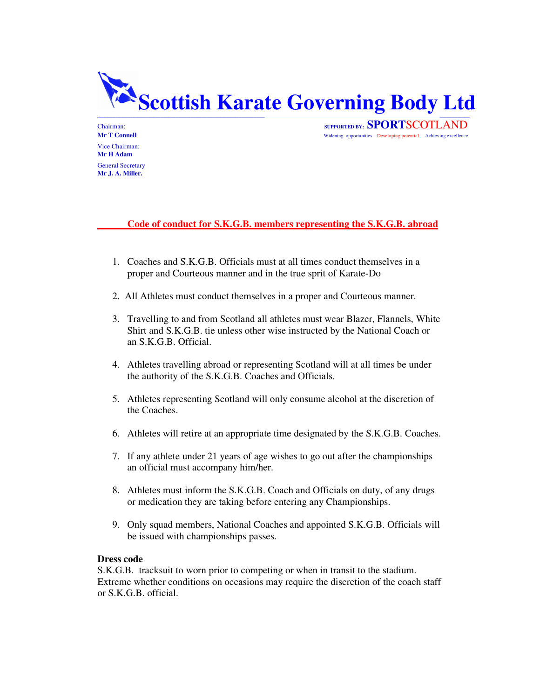

Vice Chairman: **Mr H Adam** General Secretary **Mr J. A. Miller.**

Chairman:<br> **SUPPORTED BY: SPORT**SCOTLAND<br> **SUPPORTED BY: SPORT**SCOTLAND<br>
Widening opportunities Developing potential. Achieving excellence Widening opportunities Developing potential. Achieving excellence.

# **Code of conduct for S.K.G.B. members representing the S.K.G.B. abroad**

- 1. Coaches and S.K.G.B. Officials must at all times conduct themselves in a proper and Courteous manner and in the true sprit of Karate-Do
- 2. All Athletes must conduct themselves in a proper and Courteous manner.
- 3. Travelling to and from Scotland all athletes must wear Blazer, Flannels, White Shirt and S.K.G.B. tie unless other wise instructed by the National Coach or an S.K.G.B. Official.
- 4. Athletes travelling abroad or representing Scotland will at all times be under the authority of the S.K.G.B. Coaches and Officials.
- 5. Athletes representing Scotland will only consume alcohol at the discretion of the Coaches.
- 6. Athletes will retire at an appropriate time designated by the S.K.G.B. Coaches.
- 7. If any athlete under 21 years of age wishes to go out after the championships an official must accompany him/her.
- 8. Athletes must inform the S.K.G.B. Coach and Officials on duty, of any drugs or medication they are taking before entering any Championships.
- 9. Only squad members, National Coaches and appointed S.K.G.B. Officials will be issued with championships passes.

# **Dress code**

S.K.G.B. tracksuit to worn prior to competing or when in transit to the stadium. Extreme whether conditions on occasions may require the discretion of the coach staff or S.K.G.B. official.